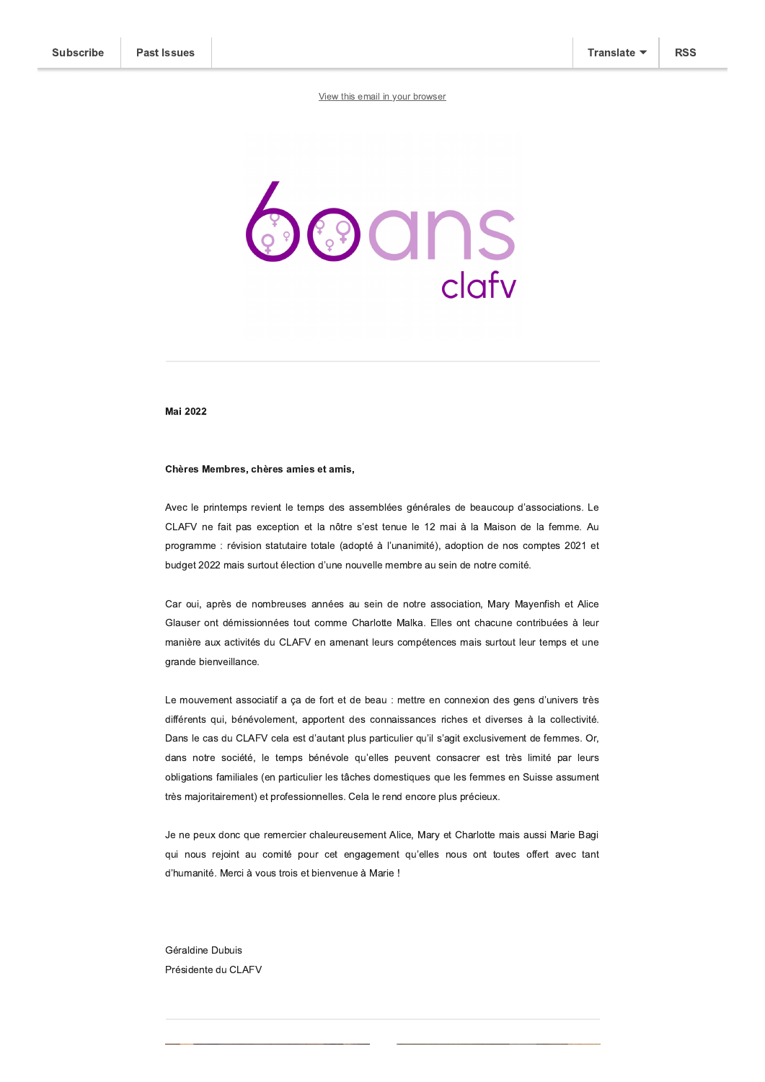

**Mai 2022** 

## Chères Membres, chères amies et amis,

Avec le printemps revient le temps des assemblées générales de beaucoup d'associations. Le CLAFV ne fait pas exception et la nôtre s'est tenue le 12 mai à la Maison de la femme. Au programme : révision statutaire totale (adopté à l'unanimité), adoption de nos comptes 2021 et budget 2022 mais surtout élection d'une nouvelle membre au sein de notre comité.

Car oui, après de nombreuses années au sein de notre association, Mary Mayenfish et Alice Glauser ont démissionnées tout comme Charlotte Malka. Elles ont chacune contribuées à leur manière aux activités du CLAFV en amenant leurs compétences mais surtout leur temps et une grande bienveillance.

Le mouvement associatif a ça de fort et de beau : mettre en connexion des gens d'univers très différents qui, bénévolement, apportent des connaissances riches et diverses à la collectivité. Dans le cas du CLAFV cela est d'autant plus particulier qu'il s'agit exclusivement de femmes. Or, dans notre société, le temps bénévole qu'elles peuvent consacrer est très limité par leurs obligations familiales (en particulier les tâches domestiques que les femmes en Suisse assument très majoritairement) et professionnelles. Cela le rend encore plus précieux.

Je ne peux donc que remercier chaleureusement Alice, Mary et Charlotte mais aussi Marie Bagi qui nous rejoint au comité pour cet engagement qu'elles nous ont toutes offert avec tant d'humanité. Merci à vous trois et bienvenue à Marie !

Géraldine Dubuis Présidente du CLAFV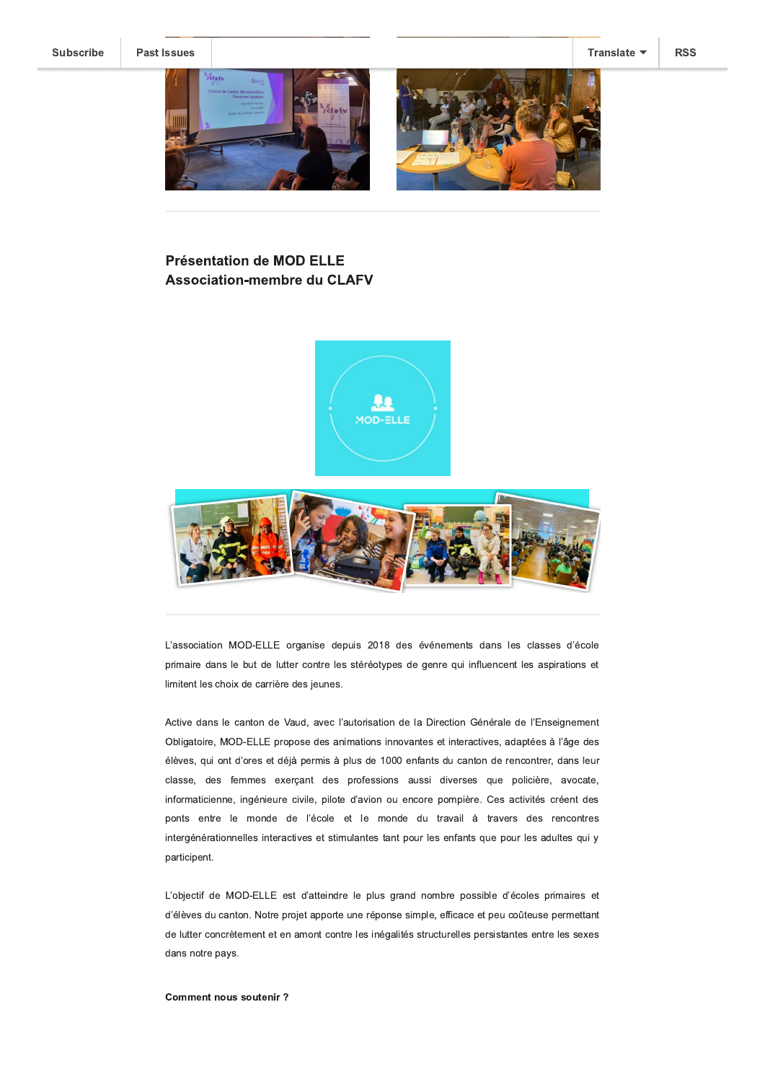**Past Issues** 



# **Présentation de MOD ELLE Association-membre du CLAFV**





L'association MOD-ELLE organise depuis 2018 des événements dans les classes d'école primaire dans le but de lutter contre les stéréotypes de genre qui influencent les aspirations et limitent les choix de carrière des jeunes.

Active dans le canton de Vaud, avec l'autorisation de la Direction Générale de l'Enseignement Obligatoire, MOD-ELLE propose des animations innovantes et interactives, adaptées à l'âge des élèves, qui ont d'ores et déjà permis à plus de 1000 enfants du canton de rencontrer, dans leur classe, des femmes exerçant des professions aussi diverses que policière, avocate, informaticienne, ingénieure civile, pilote d'avion ou encore pompière. Ces activités créent des ponts entre le monde de l'école et le monde du travail à travers des rencontres intergénérationnelles interactives et stimulantes tant pour les enfants que pour les adultes qui y participent.

L'objectif de MOD-ELLE est d'atteindre le plus grand nombre possible d'écoles primaires et d'élèves du canton. Notre projet apporte une réponse simple, efficace et peu coûteuse permettant de lutter concrètement et en amont contre les inégalités structurelles persistantes entre les sexes dans notre pays.

#### **Comment nous soutenir?**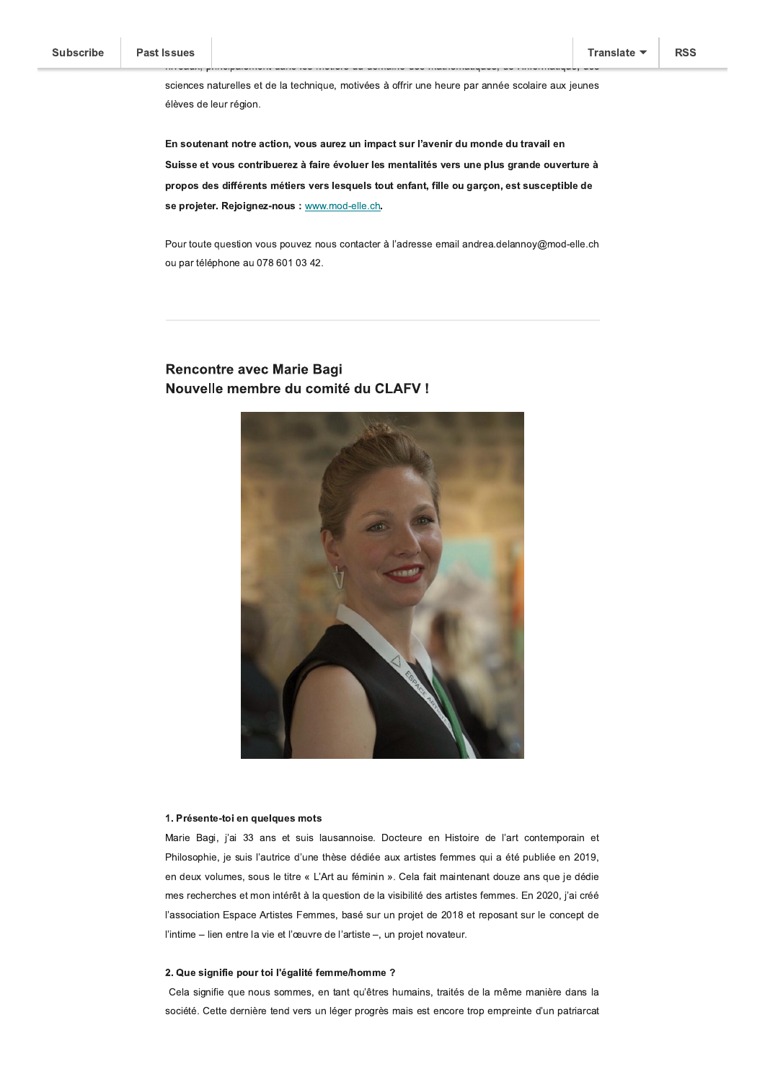**RSS** 

sciences naturelles et de la technique, motivées à offrir une heure par année scolaire aux jeunes élèves de leur région.

En soutenant notre action, vous aurez un impact sur l'avenir du monde du travail en Suisse et vous contribuerez à faire évoluer les mentalités vers une plus grande ouverture à propos des différents métiers vers lesquels tout enfant, fille ou garçon, est susceptible de se projeter. Rejoignez-nous : www.mod-elle.ch.

Pour toute question vous pouvez nous contacter à l'adresse email andrea.delannoy@mod-elle.ch ou par téléphone au 078 601 03 42.

# **Rencontre avec Marie Bagi** Nouvelle membre du comité du CLAFV !



## 1. Présente-toi en quelques mots

Marie Bagi, j'ai 33 ans et suis lausannoise. Docteure en Histoire de l'art contemporain et Philosophie, je suis l'autrice d'une thèse dédiée aux artistes femmes qui a été publiée en 2019, en deux volumes, sous le titre « L'Art au féminin ». Cela fait maintenant douze ans que je dédie mes recherches et mon intérêt à la question de la visibilité des artistes femmes. En 2020, j'ai créé l'association Espace Artistes Femmes, basé sur un projet de 2018 et reposant sur le concept de l'intime - lien entre la vie et l'œuvre de l'artiste -, un projet novateur.

## 2. Que signifie pour toi l'égalité femme/homme ?

Cela signifie que nous sommes, en tant qu'êtres humains, traités de la même manière dans la société. Cette dernière tend vers un léger progrès mais est encore trop empreinte d'un patriarcat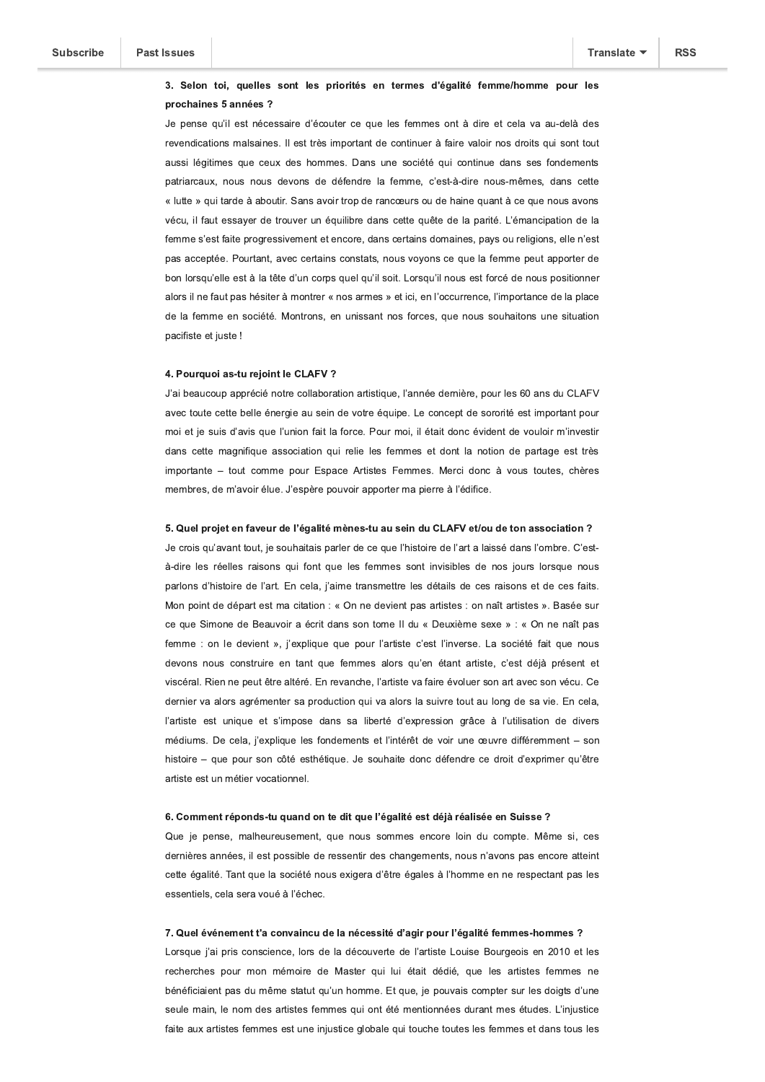## 3. Selon toi, quelles sont les priorités en termes d'égalité femme/homme pour les prochaines 5 années ?

Je pense qu'il est nécessaire d'écouter ce que les femmes ont à dire et cela va au-delà des revendications malsaines. Il est très important de continuer à faire valoir nos droits qui sont tout aussi légitimes que ceux des hommes. Dans une société qui continue dans ses fondements patriarcaux, nous nous devons de défendre la femme, c'est-à-dire nous-mêmes, dans cette « lutte » qui tarde à aboutir. Sans avoir trop de rancœurs ou de haine quant à ce que nous avons vécu, il faut essaver de trouver un équilibre dans cette quête de la parité. L'émancipation de la femme s'est faite progressivement et encore, dans certains domaines, pays ou religions, elle n'est pas acceptée. Pourtant, avec certains constats, nous voyons ce que la femme peut apporter de bon lorsqu'elle est à la tête d'un corps quel qu'il soit. Lorsqu'il nous est forcé de nous positionner alors il ne faut pas hésiter à montrer « nos armes » et ici, en l'occurrence, l'importance de la place de la femme en société. Montrons, en unissant nos forces, que nous souhaitons une situation pacifiste et juste !

## 4. Pourquoi as-tu rejoint le CLAFV ?

J'ai beaucoup apprécié notre collaboration artistique, l'année dernière, pour les 60 ans du CLAFV avec toute cette belle énergie au sein de votre équipe. Le concept de sororité est important pour moi et je suis d'avis que l'union fait la force. Pour moi, il était donc évident de vouloir m'investir dans cette magnifique association qui relie les femmes et dont la notion de partage est très importante - tout comme pour Espace Artistes Femmes. Merci donc à vous toutes, chères membres, de m'avoir élue. J'espère pouvoir apporter ma pierre à l'édifice.

## 5. Quel projet en faveur de l'égalité mènes-tu au sein du CLAFV et/ou de ton association ?

Je crois qu'avant tout, je souhaitais parler de ce que l'histoire de l'art a laissé dans l'ombre. C'està-dire les réelles raisons qui font que les femmes sont invisibles de nos jours lorsque nous parlons d'histoire de l'art. En cela, j'aime transmettre les détails de ces raisons et de ces faits. Mon point de départ est ma citation : « On ne devient pas artistes : on naît artistes ». Basée sur ce que Simone de Beauvoir a écrit dans son tome II du « Deuxième sexe » : « On ne naît pas femme : on le devient », j'explique que pour l'artiste c'est l'inverse. La société fait que nous devons nous construire en tant que femmes alors qu'en étant artiste, c'est déjà présent et viscéral. Rien ne peut être altéré. En revanche, l'artiste va faire évoluer son art avec son vécu. Ce dernier va alors agrémenter sa production qui va alors la suivre tout au long de sa vie. En cela, l'artiste est unique et s'impose dans sa liberté d'expression grâce à l'utilisation de divers médiums. De cela, j'explique les fondements et l'intérêt de voir une œuvre différemment - son histoire - que pour son côté esthétique. Je souhaite donc défendre ce droit d'exprimer qu'être artiste est un métier vocationnel.

#### 6. Comment réponds-tu quand on te dit que l'égalité est déjà réalisée en Suisse ?

Que je pense, malheureusement, que nous sommes encore loin du compte. Même si, ces dernières années, il est possible de ressentir des changements, nous n'avons pas encore atteint cette égalité. Tant que la société nous exigera d'être égales à l'homme en ne respectant pas les essentiels, cela sera voué à l'échec.

## 7. Quel événement t'a convaincu de la nécessité d'agir pour l'égalité femmes-hommes ?

Lorsque j'ai pris conscience, lors de la découverte de l'artiste Louise Bourgeois en 2010 et les recherches pour mon mémoire de Master qui lui était dédié, que les artistes femmes ne bénéficiaient pas du même statut qu'un homme. Et que, je pouvais compter sur les doigts d'une seule main, le nom des artistes femmes qui ont été mentionnées durant mes études. L'injustice faite aux artistes femmes est une injustice globale qui touche toutes les femmes et dans tous les